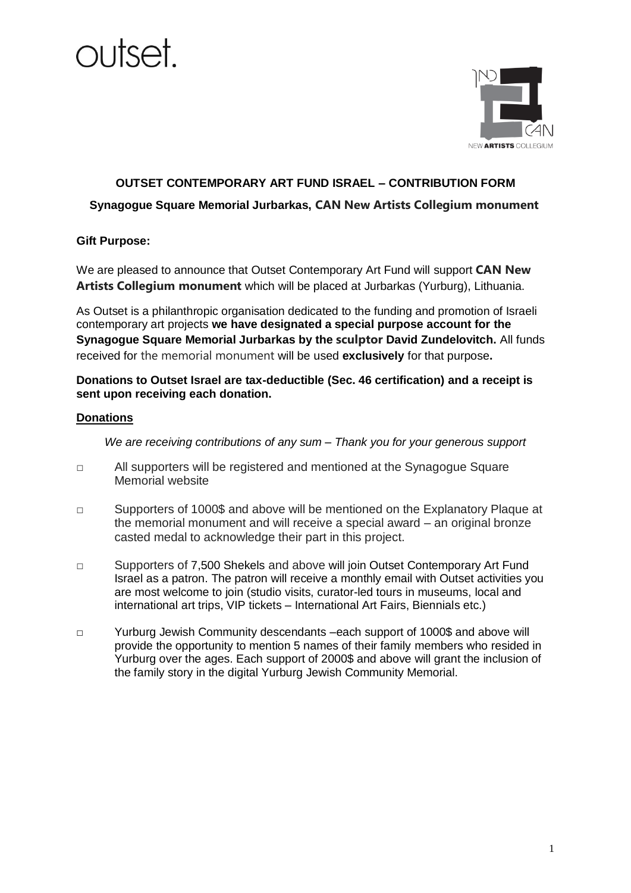



### **OUTSET CONTEMPORARY ART FUND ISRAEL – CONTRIBUTION FORM**

### **Synagogue Square Memorial Jurbarkas, CAN New Artists Collegium monument**

### **Gift Purpose:**

We are pleased to announce that Outset Contemporary Art Fund will support **CAN New Artists Collegium monument** which will be placed at Jurbarkas (Yurburg), Lithuania.

As Outset is a philanthropic organisation dedicated to the funding and promotion of Israeli contemporary art projects **we have designated a special purpose account for the Synagogue Square Memorial Jurbarkas by the sculptor David Zundelovitch.** All funds received for the memorial monument will be used **exclusively** for that purpose**.** 

**Donations to Outset Israel are tax-deductible (Sec. 46 certification) and a receipt is sent upon receiving each donation.**

#### **Donations**

*We are receiving contributions of any sum – Thank you for your generous support*

- □ All supporters will be registered and mentioned at the Synagogue Square Memorial website
- □ Supporters of 1000\$ and above will be mentioned on the Explanatory Plaque at the memorial monument and will receive a special award – an original bronze casted medal to acknowledge their part in this project.
- □ Supporters of 7,500 Shekels and above will join Outset Contemporary Art Fund Israel as a patron. The patron will receive a monthly email with Outset activities you are most welcome to join (studio visits, curator-led tours in museums, local and international art trips, VIP tickets – International Art Fairs, Biennials etc.)
- □ Yurburg Jewish Community descendants –each support of 1000\$ and above will provide the opportunity to mention 5 names of their family members who resided in Yurburg over the ages. Each support of 2000\$ and above will grant the inclusion of the family story in the digital Yurburg Jewish Community Memorial.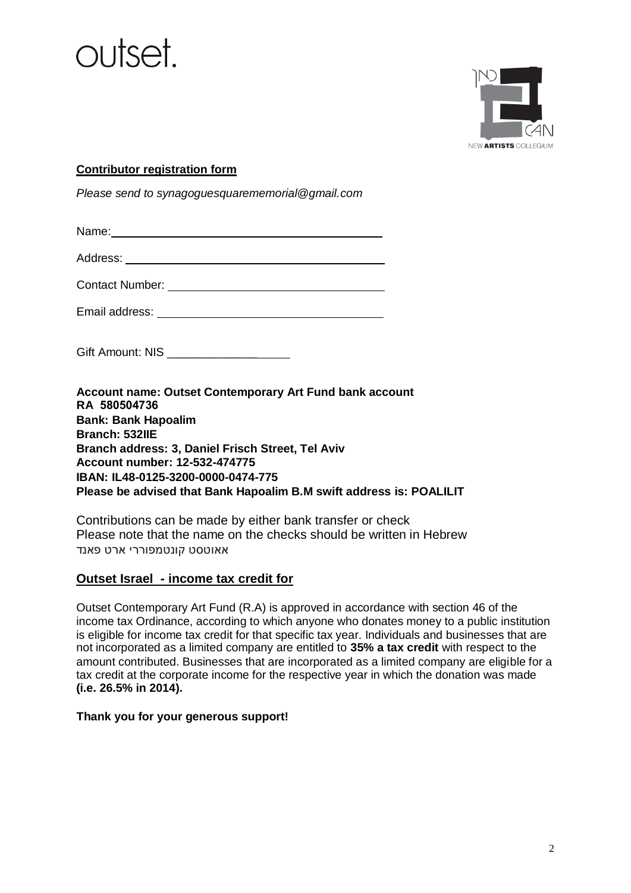



### **Contributor registration form**

*Please send to synagoguesquarememorial@gmail.com*

| Name:                  |
|------------------------|
| Address:               |
| <b>Contact Number:</b> |

Email address:

Gift Amount: NIS \_\_\_\_\_\_\_\_\_\_\_\_\_\_\_

**Account name: Outset Contemporary Art Fund bank account RA 580504736 Bank: Bank Hapoalim Branch: 532IIE Branch address: 3, Daniel Frisch Street, Tel Aviv Account number: 12-532-474775 IBAN: IL48-0125-3200-0000-0474-775 Please be advised that Bank Hapoalim B.M swift address is: POALILIT** 

Contributions can be made by either bank transfer or check Please note that the name on the checks should be written in Hebrew אאוטסט קונטמפוררי ארט פאנד

# **Outset Israel - income tax credit for**

Outset Contemporary Art Fund (R.A) is approved in accordance with section 46 of the income tax Ordinance, according to which anyone who donates money to a public institution is eligible for income tax credit for that specific tax year. Individuals and businesses that are not incorporated as a limited company are entitled to **35% a tax credit** with respect to the amount contributed. Businesses that are incorporated as a limited company are eligible for a tax credit at the corporate income for the respective year in which the donation was made **(i.e. 26.5% in 2014).**

### **Thank you for your generous support!**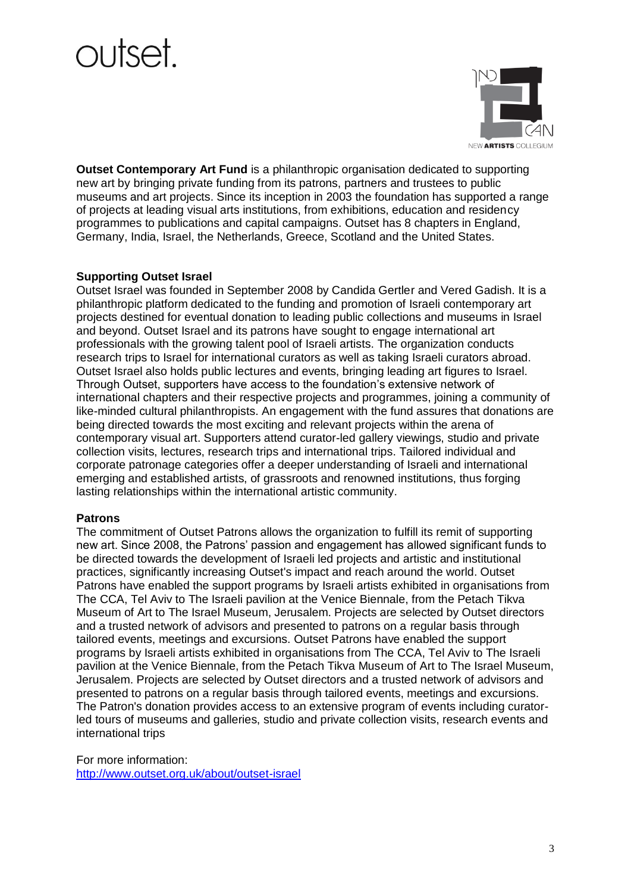# taztı ır



**Outset Contemporary Art Fund** is a philanthropic organisation dedicated to supporting new art by bringing private funding from its patrons, partners and trustees to public museums and art projects. Since its inception in 2003 the foundation has supported a range of projects at leading visual arts institutions, from exhibitions, education and residency programmes to publications and capital campaigns. Outset has 8 chapters in England, Germany, India, Israel, the Netherlands, Greece, Scotland and the United States.

# **Supporting Outset Israel**

Outset Israel was founded in September 2008 by Candida Gertler and Vered Gadish. It is a philanthropic platform dedicated to the funding and promotion of Israeli contemporary art projects destined for eventual donation to leading public collections and museums in Israel and beyond. Outset Israel and its patrons have sought to engage international art professionals with the growing talent pool of Israeli artists. The organization conducts research trips to Israel for international curators as well as taking Israeli curators abroad. Outset Israel also holds public lectures and events, bringing leading art figures to Israel. Through Outset, supporters have access to the foundation's extensive network of international chapters and their respective projects and programmes, joining a community of like-minded cultural philanthropists. An engagement with the fund assures that donations are being directed towards the most exciting and relevant projects within the arena of contemporary visual art. Supporters attend curator-led gallery viewings, studio and private collection visits, lectures, research trips and international trips. Tailored individual and corporate patronage categories offer a deeper understanding of Israeli and international emerging and established artists, of grassroots and renowned institutions, thus forging lasting relationships within the international artistic community.

### **Patrons**

The commitment of Outset Patrons allows the organization to fulfill its remit of supporting new art. Since 2008, the Patrons' passion and engagement has allowed significant funds to be directed towards the development of Israeli led projects and artistic and institutional practices, significantly increasing Outset's impact and reach around the world. Outset Patrons have enabled the support programs by Israeli artists exhibited in organisations from The CCA, Tel Aviv to The Israeli pavilion at the Venice Biennale, from the Petach Tikva Museum of Art to The Israel Museum, Jerusalem. Projects are selected by Outset directors and a trusted network of advisors and presented to patrons on a regular basis through tailored events, meetings and excursions. Outset Patrons have enabled the support programs by Israeli artists exhibited in organisations from The CCA, Tel Aviv to The Israeli pavilion at the Venice Biennale, from the Petach Tikva Museum of Art to The Israel Museum, Jerusalem. Projects are selected by Outset directors and a trusted network of advisors and presented to patrons on a regular basis through tailored events, meetings and excursions. The Patron's donation provides access to an extensive program of events including curatorled tours of museums and galleries, studio and private collection visits, research events and international trips

For more information: <http://www.outset.org.uk/about/outset-israel>